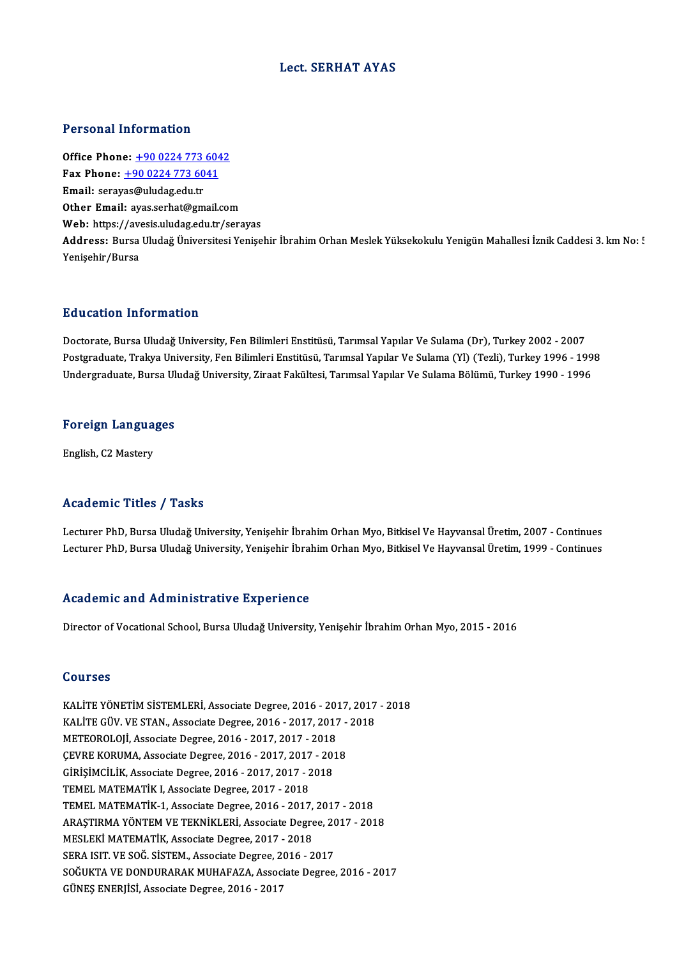#### Lect. SERHAT AYAS

#### Personal Information

Personal Information<br>Office Phone: <u>+90 0224 773 6042</u><br>Fax Phone: 190 0224 773 6041 1 0100111 1110111111011<br>
0ffice Phone: <u>+90 0224 773 6041</u><br>
Fax Phone: <u>+90 0224 773 6041</u> Office Phone: <u>+90 0224 773<br>Fax Phone: +90 0224 773 60</u><br>Email: seray[as@uludag.edu.tr](tel:+90 0224 773 6041) Fax Phone:  $\pm 9002247736041$ <br>Email: serayas@uludag.edu.tr<br>Other Email: ayas.serhat@gmail.com Web: https://avesis.uludag.edu.tr/serayas Other Email: ayas.serhat@gmail.com<br>Web: https://avesis.uludag.edu.tr/serayas<br>Address: Bursa Uludağ Üniversitesi Yenişehir İbrahim Orhan Meslek Yüksekokulu Yenigün Mahallesi İznik Caddesi 3. km No: ! Web: https://av<br>Address: Bursa<br>Yenişehir/Bursa

#### Education Information

Doctorate, Bursa Uludağ University, Fen Bilimleri Enstitüsü, Tarımsal Yapılar Ve Sulama (Dr), Turkey 2002 - 2007 Postgraduate, Trakya University, Fen Bilimleri Enstitüsü, Tarımsal Yapılar Ve Sulama (Yl) (Tezli), Turkey 1996 - 1998 Undergraduate, Bursa Uludağ University, Ziraat Fakültesi, Tarımsal Yapılar Ve Sulama Bölümü, Turkey 1990 - 1996

## <sub>ondergraduate, Bursa of<br>Foreign Languages</sub> F<mark>oreign Langua</mark><br>English, C2 Mastery

# English, C2 Mastery<br>Academic Titles / Tasks

Lecturer PhD, Bursa Uludağ University, Yenişehir İbrahim Orhan Myo, Bitkisel Ve Hayvansal Üretim, 2007 - Continues Lecturer PhD, Bursa Uludağ University, Yenişehir İbrahim Orhan Myo, Bitkisel Ve Hayvansal Üretim, 1999 - Continues

#### Academic and Administrative Experience

Director of Vocational School, Bursa Uludağ University, Yenişehir İbrahim Orhan Myo, 2015 - 2016

#### Courses

Courses<br>KALİTE YÖNETİM SİSTEMLERİ, Associate Degree, 2016 - 2017, 2017 - 2018<br>KALİTE CÜV, VE STAN, Associate Degree, 2016 - 2017, 2017, 2018 SSALITE YÖNETIM SISTEMLERI, Associate Degree, 2016 - 2017, 2017<br>KALİTE GÜV. VE STAN., Associate Degree, 2016 - 2017, 2017 - 2018<br>METEOROLOU, Associate Degree, 2016 - 2017, 2017, 2019 KALİTE YÖNETİM SİSTEMLERİ, Associate Degree, 2016 - 2018<br>KALİTE GÜV. VE STAN., Associate Degree, 2016 - 2017, 2017<br>METEOROLOJİ, Associate Degree, 2016 - 2017, 2017 - 2018<br>CEVPE KOBUMA, Associate Degree, 2016 - 2017, 2017, KALITE GÜV. VE STAN., Associate Degree, 2016 - 2017, 2017 -<br>METEOROLOJI, Associate Degree, 2016 - 2017, 2017 - 2018<br>ÇEVRE KORUMA, Associate Degree, 2016 - 2017, 2017 - 2018<br>CIBİSİMÇİLİK, Associate Degree, 2016 - 2017, 2017 METEOROLOJİ, Associate Degree, 2016 - 2017, 2017 - 2018<br>ÇEVRE KORUMA, Associate Degree, 2016 - 2017, 2017 - 201<br>GİRİŞİMCİLİK, Associate Degree, 2016 - 2017, 2017 - 2018<br>TEMEL MATEMATİK L Associate Degree, 2017, 2019 CEVRE KORUMA, Associate Degree, 2016 - 2017, 2017 - 2018<br>GİRİŞİMCİLİK, Associate Degree, 2016 - 2017, 2017 - 2018<br>TEMEL MATEMATİK I, Associate Degree, 2017 - 2018 GİRİŞİMCİLİK, Associate Degree, 2016 - 2017, 2017 - 2018<br>TEMEL MATEMATİK I, Associate Degree, 2017 - 2018<br>TEMEL MATEMATİK-1, Associate Degree, 2016 - 2017, 2017 - 2018<br>ARASTIRMA VÖNTEM VE TEKNİKI ERİ Associate Degree, 2017 TEMEL MATEMATİK I, Associate Degree, 2017 - 2018<br>TEMEL MATEMATİK-1, Associate Degree, 2016 - 2017, 2017 - 2018<br>ARAŞTIRMA YÖNTEM VE TEKNİKLERİ, Associate Degree, 2017 - 2018<br>MESLEKİ MATEMATİK, Associate Degree, 2017, 2019 TEMEL MATEMATİK-1, Associate Degree, 2016 - 2017,<br>ARAŞTIRMA YÖNTEM VE TEKNİKLERİ, Associate Degre<br>MESLEKİ MATEMATİK, Associate Degree, 2017 - 2018<br>SERA ISIT VE SOĞ SİSTEM, Associate Degree, 2016 - 2 ARAŞTIRMA YÖNTEM VE TEKNİKLERİ, Associate Degree, 2017 - 2018<br>MESLEKİ MATEMATİK, Associate Degree, 2017 - 2018<br>SERA ISIT. VE SOĞ. SİSTEM.. Associate Degree. 2016 - 2017 SOĞUKTA VE DONDURARAK MUHAFAZA, Associate Degree, 2016 - 2017 GÜNEŞ ENERJİSİ, Associate Degree, 2016 - 2017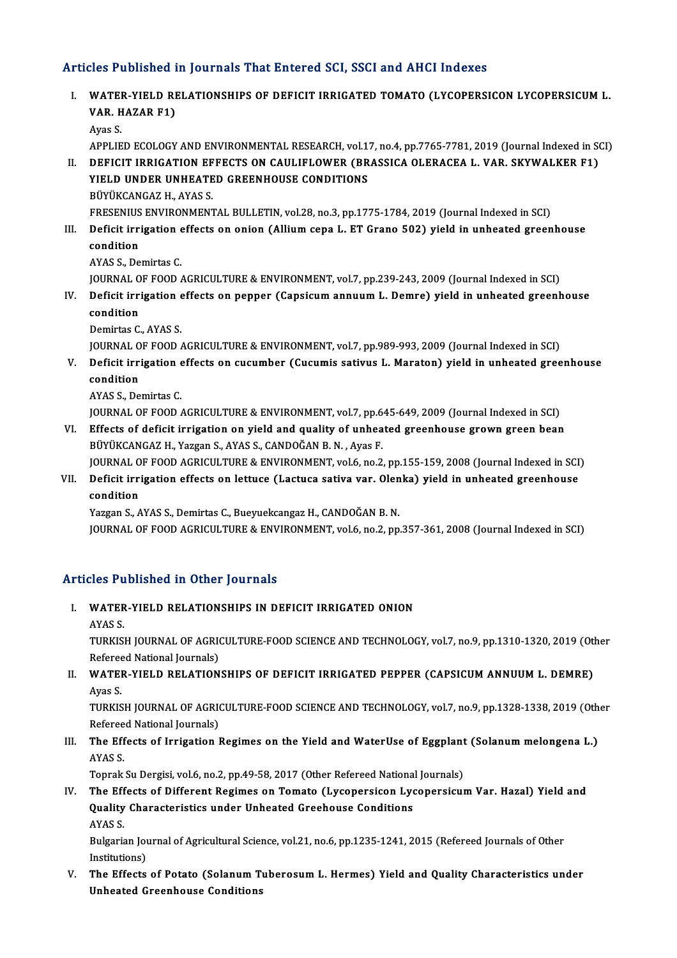#### Articles Published in Journals That Entered SCI, SSCI and AHCI Indexes

rticles Published in Journals That Entered SCI, SSCI and AHCI Indexes<br>I. WATER-YIELD RELATIONSHIPS OF DEFICIT IRRIGATED TOMATO (LYCOPERSICON LYCOPERSICUM L. *VARE A BIRBING*<br>WATER-YIELD RI<br>VAR. HAZAR F1) **WATE**<br>**VAR** H<br>Ayas S. VAR. HAZAR F1)<br>Ayas S.<br>APPLIED ECOLOGY AND ENVIRONMENTAL RESEARCH, vol.17, no.4, pp.7765-7781, 2019 (Journal Indexed in SCI) Ayas S.<br>APPLIED ECOLOGY AND ENVIRONMENTAL RESEARCH, vol.17, no.4, pp.7765-7781, 2019 (Journal Indexed in St<br>II. DEFICIT IRRIGATION EFFECTS ON CAULIFLOWER (BRASSICA OLERACEA L. VAR. SKYWALKER F1)<br>VIELD UNDER UNHEATED CREENH APPLIED ECOLOGY AND ENVIRONMENTAL RESEARCH, vol.1<br>DEFICIT IRRIGATION EFFECTS ON CAULIFLOWER (BR<br>YIELD UNDER UNHEATED GREENHOUSE CONDITIONS<br>PIWIKCANCAZ HANAS S DEFICIT IRRIGATION EF<br>YIELD UNDER UNHEATE<br>BÜYÜKCANGAZ H., AYAS S.<br>ERESENIUS ENVIRONMENT YIELD UNDER UNHEATED GREENHOUSE CONDITIONS<br>BÜYÜKCANGAZ H., AYAS S.<br>FRESENIUS ENVIRONMENTAL BULLETIN, vol.28, no.3, pp.1775-1784, 2019 (Journal Indexed in SCI)<br>Defisit innisation effects on onion (Allium sons L. ET Crons 50 BÜYÜKCANGAZ H., AYAS S.<br>FRESENIUS ENVIRONMENTAL BULLETIN, vol.28, no.3, pp.1775-1784, 2019 (Journal Indexed in SCI)<br>III. Deficit irrigation effects on onion (Allium cepa L. ET Grano 502) yield in unheated greenhouse<br>co FRESENIUS<br>Deficit irri<br>condition<br>AVAS S. Do III. Deficit irrigation effects on onion (Allium cepa L. ET Grano 502) yield in unheated greenhouse condition<br>AYAS S., Demirtas C. condition<br>AYAS S., Demirtas C.<br>JOURNAL OF FOOD AGRICULTURE & ENVIRONMENT, vol.7, pp.239-243, 2009 (Journal Indexed in SCI)<br>Deficit ingigation effects on nonner (Consigum annuum L. Demre) vield in unbeated greenh AYAS S., Demirtas C.<br>JOURNAL OF FOOD AGRICULTURE & ENVIRONMENT, vol.7, pp.239-243, 2009 (Journal Indexed in SCI)<br>IV. Deficit irrigation effects on pepper (Capsicum annuum L. Demre) yield in unheated greenhouse<br>conditio JOURNAL O<br>Deficit irri<br>condition<br><sup>Domintos C</sup> IV. Deficit irrigation effects on pepper (Capsicum annuum L. Demre) yield in unheated greenhouse condition<br>Condition<br>Demirtas C., AYAS S. JOURNAL OF FOOD AGRICULTURE & ENVIRONMENT, vol.7, pp.989-993, 2009 (Journal Indexed in SCI) Demirtas C., AYAS S.<br>JOURNAL OF FOOD AGRICULTURE & ENVIRONMENT, vol.7, pp.989-993, 2009 (Journal Indexed in SCI)<br>V. Deficit irrigation effects on cucumber (Cucumis sativus L. Maraton) yield in unheated greenhouse<br>condit JOURNAL O<br>Deficit irri<br>condition<br>AVAS S. De **Deficit irrigation e<br>condition<br>AYAS S., Demirtas C.<br>JOUPMAL OF FOOD (** condition<br>AYAS S., Demirtas C.<br>JOURNAL OF FOOD AGRICULTURE & ENVIRONMENT, vol.7, pp.645-649, 2009 (Journal Indexed in SCI) AYAS S., Demirtas C.<br>JOURNAL OF FOOD AGRICULTURE & ENVIRONMENT, vol.7, pp.645-649, 2009 (Journal Indexed in SCI)<br>VI. Effects of deficit irrigation on yield and quality of unheated greenhouse grown green bean<br>PUVIVCANGAZ H. JOURNAL OF FOOD AGRICULTURE & ENVIRONMENT, vol.7, pp.6<br>Effects of deficit irrigation on yield and quality of unhea<br>BÜYÜKCANGAZ H., Yazgan S., AYAS S., CANDOĞAN B. N. , Ayas F.<br>JOURNAL OF FOOD ACRICULTURE & ENVIRONMENT, vol Effects of deficit irrigation on yield and quality of unheated greenhouse grown green bean<br>BÜYÜKCANGAZ H., Yazgan S., AYAS S., CANDOĞAN B. N. , Ayas F.<br>JOURNAL OF FOOD AGRICULTURE & ENVIRONMENT, vol.6, no.2, pp.155-159, 20 BÜYÜKCANGAZ H., Yazgan S., AYAS S., CANDOĞAN B. N. , Ayas F.<br>JOURNAL OF FOOD AGRICULTURE & ENVIRONMENT, vol.6, no.2, pp.155-159, 2008 (Journal Indexed in SCI)<br>VII. Deficit irrigation effects on lettuce (Lactuca sativa var. JOURNAL O<br>Deficit irri<br>condition<br><sup>Vorgon S</sup>. A Deficit irrigation effects on lettuce (Lactuca sativa var. Olen<br>condition<br>Yazgan S., AYAS S., Demirtas C., Bueyuekcangaz H., CANDOĞAN B. N.<br>JOUPNAL OF FOOD ACPICULTIPE & ENVIRONMENT vel 6 rs 3 rn condition<br>Yazgan S., AYAS S., Demirtas C., Bueyuekcangaz H., CANDOĞAN B. N.<br>JOURNAL OF FOOD AGRICULTURE & ENVIRONMENT, vol.6, no.2, pp.357-361, 2008 (Journal Indexed in SCI)

#### Articles Published in Other Journals

- Tticles Published in Other Journals<br>I. WATER-YIELD RELATIONSHIPS IN DEFICIT IRRIGATED ONION MOTT<br>WATER<br>AYAS S.<br>TURKISI
	-

WATER-YIELD RELATIONSHIPS IN DEFICIT IRRIGATED ONION<br>AYAS S.<br>TURKISH JOURNAL OF AGRICULTURE-FOOD SCIENCE AND TECHNOLOGY, vol.7, no.9, pp.1310-1320, 2019 (Other<br>Refereed National Journals) AYAS S.<br>TURKISH JOURNAL OF AGRIC<br>Refereed National Journals)<br>WATER VIELD RELATION TURKISH JOURNAL OF AGRICULTURE-FOOD SCIENCE AND TECHNOLOGY, vol.7, no.9, pp.1310-1320, 2019 (Oth<br>Refereed National Journals)<br>II. WATER-YIELD RELATIONSHIPS OF DEFICIT IRRIGATED PEPPER (CAPSICUM ANNUUM L. DEMRE)

Referee<br>**WATE**I<br>Ayas S.<br>TUDKIS WATER-YIELD RELATIONSHIPS OF DEFICIT IRRIGATED PEPPER (CAPSICUM ANNUUM L. DEMRE)<br>Ayas S.<br>TURKISH JOURNAL OF AGRICULTURE-FOOD SCIENCE AND TECHNOLOGY, vol.7, no.9, pp.1328-1338, 2019 (Other<br>Refereed National Journale)

Ayas S.<br>TURKISH JOURNAL OF AGRI<br>Refereed National Journals)<br>The Effects of Invisation I TURKISH JOURNAL OF AGRICULTURE-FOOD SCIENCE AND TECHNOLOGY, vol.7, no.9, pp.1328-1338, 2019 (Oth<br>Refereed National Journals)<br>III. The Effects of Irrigation Regimes on the Yield and WaterUse of Eggplant (Solanum melongena L

### Referee<br>The Eff<br>AYAS S.<br>Tonrak The Effects of Irrigation Regimes on the Yield and WaterUse of Eggplant<br>AYAS S.<br>Toprak Su Dergisi, vol.6, no.2, pp.49-58, 2017 (Other Refereed National Journals)<br>The Effects of Different Begimes on Tomate (I vennersieen Ly

AYAS S.<br>Ioprak Su Dergisi, vol.6, no.2, pp.49-58, 2017 (Other Refereed National Journals)<br>IV. The Effects of Different Regimes on Tomato (Lycopersicon Lycopersicum Var. Hazal) Yield and<br>Quality Characteristics under Unbeat Toprak Su Dergisi, vol.6, no.2, pp.49-58, 2017 (Other Refereed National Journals)<br>The Effects of Different Regimes on Tomato (Lycopersicon Lycopersicu)<br>Quality Characteristics under Unheated Greehouse Conditions<br>AYAS S. The Eff<br>Quality<br>AYAS S. Quality Characteristics under Unheated Greehouse Conditions<br>AYAS S.<br>Bulgarian Journal of Agricultural Science, vol.21, no.6, pp.1235-1241, 2015 (Refereed Journals of Other<br>Institutions)

AYAS S.<br>Bulgarian Jou<br>Institutions)<br>The Effects

V. The Effects of Potato (SolanumTuberosumL. Hermes) Yield and Quality Characteristics under Unheated Greenhouse Conditions